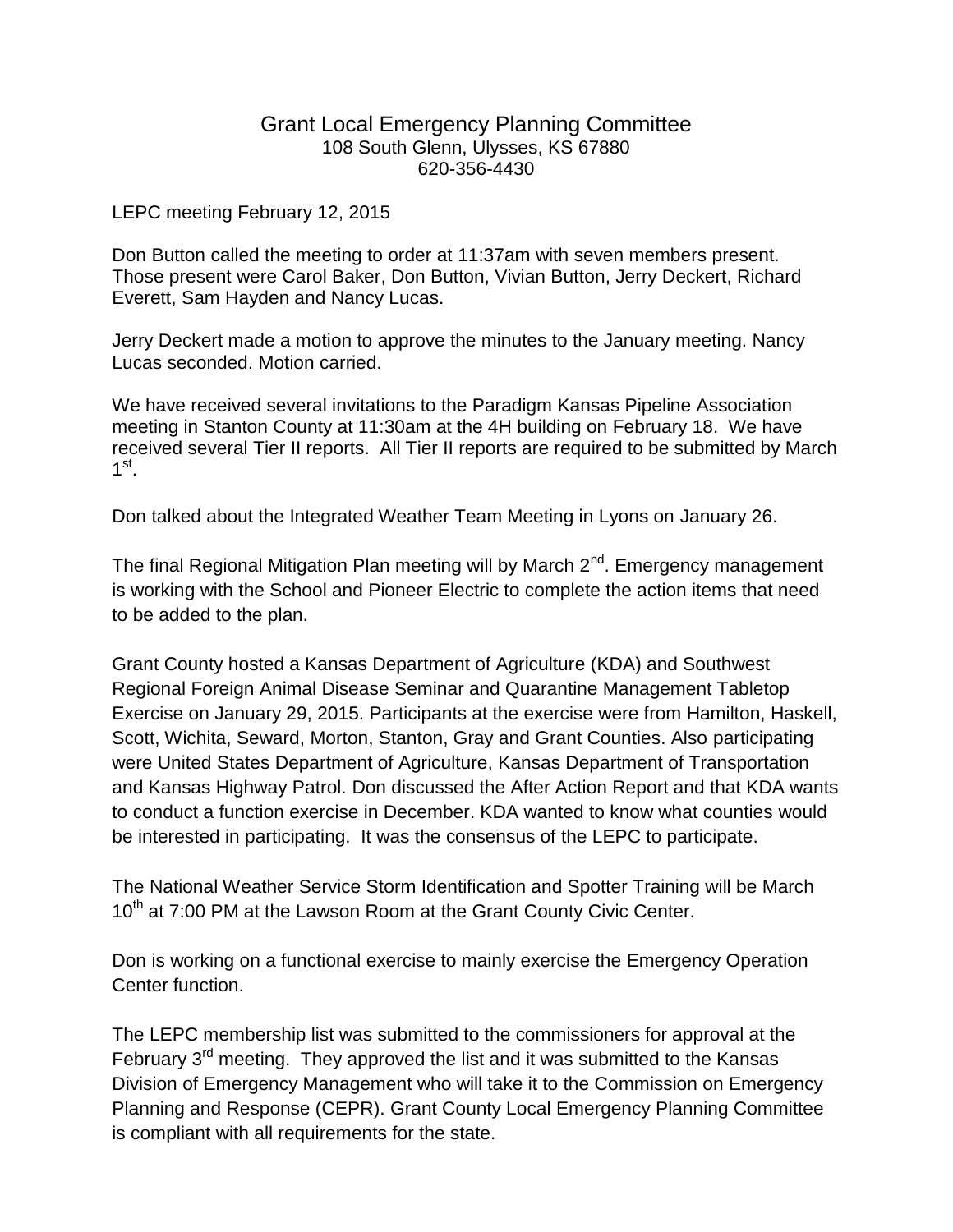## Grant Local Emergency Planning Committee 108 South Glenn, Ulysses, KS 67880 620-356-4430

LEPC meeting February 12, 2015

Don Button called the meeting to order at 11:37am with seven members present. Those present were Carol Baker, Don Button, Vivian Button, Jerry Deckert, Richard Everett, Sam Hayden and Nancy Lucas.

Jerry Deckert made a motion to approve the minutes to the January meeting. Nancy Lucas seconded. Motion carried.

We have received several invitations to the Paradigm Kansas Pipeline Association meeting in Stanton County at 11:30am at the 4H building on February 18. We have received several Tier II reports. All Tier II reports are required to be submitted by March 1 st .

Don talked about the Integrated Weather Team Meeting in Lyons on January 26.

The final Regional Mitigation Plan meeting will by March 2<sup>nd</sup>. Emergency management is working with the School and Pioneer Electric to complete the action items that need to be added to the plan.

Grant County hosted a Kansas Department of Agriculture (KDA) and Southwest Regional Foreign Animal Disease Seminar and Quarantine Management Tabletop Exercise on January 29, 2015. Participants at the exercise were from Hamilton, Haskell, Scott, Wichita, Seward, Morton, Stanton, Gray and Grant Counties. Also participating were United States Department of Agriculture, Kansas Department of Transportation and Kansas Highway Patrol. Don discussed the After Action Report and that KDA wants to conduct a function exercise in December. KDA wanted to know what counties would be interested in participating. It was the consensus of the LEPC to participate.

The National Weather Service Storm Identification and Spotter Training will be March 10<sup>th</sup> at 7:00 PM at the Lawson Room at the Grant County Civic Center.

Don is working on a functional exercise to mainly exercise the Emergency Operation Center function.

The LEPC membership list was submitted to the commissioners for approval at the February  $3<sup>rd</sup>$  meeting. They approved the list and it was submitted to the Kansas Division of Emergency Management who will take it to the Commission on Emergency Planning and Response (CEPR). Grant County Local Emergency Planning Committee is compliant with all requirements for the state.